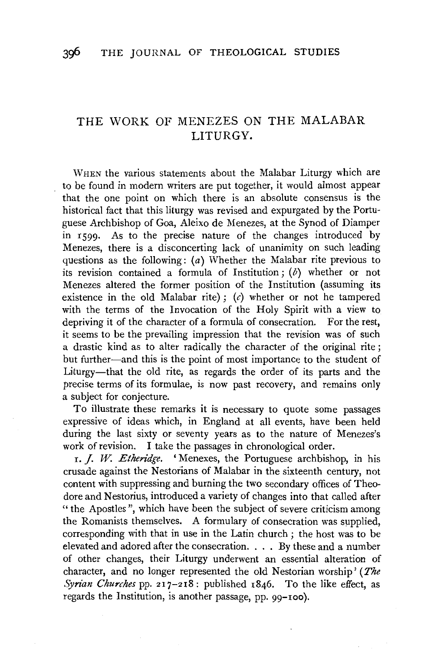# THE WORK OF MENEZES ON THE MALABAR LITURGY.

WHEN the various statements about the Malabar Liturgy which are to be found in modern writers are put together, it would almost appear that the one point on which there is an absolute consensus is the historical fact that this liturgy was revised and expurgated by the Portuguese Archbishop of Goa, Aleixo de Menezes, at the Synod of Diamper in 1599. As to the precise nature of the changes introduced by Menezes, there is a disconcerting lack of unanimity on such leading questions as the following:  $(a)$  Whether the Malabar rite previous to its revision contained a formula of Institution;  $(b)$  whether or not Menezes altered the former position of the Institution (assuming its existence in the old Malabar rite); (c) whether or not he tampered with the terms of the Invocation of the Holy Spirit with a view to depriving it of the character of a formula of consecration. For the rest, it seems to be the prevailing impression that the revision was of such a drastic kind as to alter radically the character of the original rite ; but further-and this is the point of most importance to the student of Liturgy—that the old rite, as regards the order of its parts and the precise terms of its formulae, is now past recovery, and remains only a subject for conjecture.

To illustrate these remarks it is necessary to quote some passages expressive of ideas which, in England at all events, have been held during the last sixty or seventy years as to the nature of Menezes's work of revision. I take the passages in chronological order.

r. *].* W. *Ethen"dge.* 'Menexes, the Portuguese archbishop, in his crusade against the Nestor'ians of Malabar in the sixteenth century, not content with suppressing and burning the two secondary offices of Theodore and Nestorius, introduced a variety of changes into that called after ''the Apostles", which have been the subject of severe criticism among the Romanists themselves. A formulary of consecration was supplied, corresponding with that in use in the Latin church ; the host was to be elevated and adored after the consecration. . . . By these and a number of other changes, their Liturgy underwent an essential alteration of character, and no longer represented the old Nestorian worship' *(The Syrian Churches* pp.  $217-218$ : published 1846. To the like effect, as regards the Institution, is another passage, pp. 99-roo).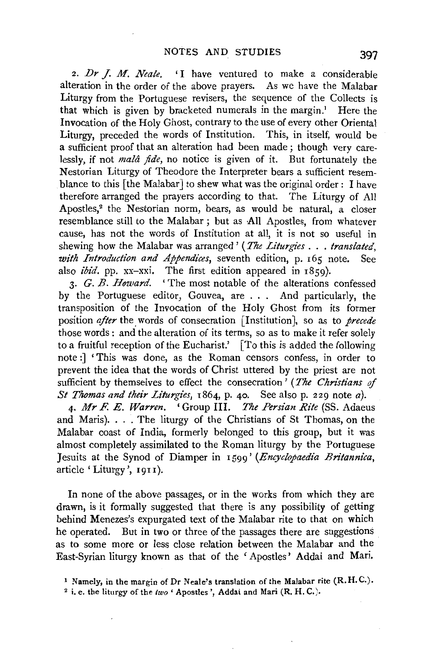2. *Dr* J. *M. Neale.* 'I have ventured to make a considerable alteration in the order of the above prayers. As we have the Malabar Liturgy from the Portuguese revisers, the sequence of the Collects is that which is given by bracketed numerals in the margin.' Here the Invocation of the Holy Ghost, contrary to the use of every other Oriental Liturgy, preceded the words of Institution. This, in itself, would be a sufficient proof that an alteration had been made ; though very carelessly, if not *mala fide,* no notice is given of it. But fortunately the Nestorian Liturgy of Theodore the Interpreter bears a sufficient resem blance to this [the Malabar] to shew what was the original order: I have therefore arranged the prayers according to that. The Liturgy of All Apostles,<sup>2</sup> the Nestorian norm, bears, as would be natural, a closer resemblance still to the Malabar ; but as All Apostles, from whatever cause, has not the words of Institution at all, it is not so useful in shewing how the Malabar was arranged ' (*The Liturgies . . . translated*, *with Introduction and Appendices,* seventh edition, p. 165 note. See also *ibid*, pp. xx-xxi. The first edition appeared in  $1859$ ).

3· *G. B. Howard.* ' The most notable of the alterations confessed by the Portuguese editor, Gouvea, are . . . And particularly, the transposition of the Invocation of the Holy Ghost from its former position *after* the words of consecration [Institution], so as to *precede* those words : and the alteration of its terms, so as to make it refer solely to a fruitful reception of the Eucharist.' [To this is added the following note :] 'This was done, as the Roman censors confess, in order to prevent the idea that the words of Christ uttered by the priest are not sufficient by themselves to effect the consecration' (The Christians of *St Thomas and their Liturgies,* 1864, p. 40. See also p. 229 note *a*).

4· *Mr F. E. Warren.* 'Group III. *The Persian Rite* (SS. Adaeus and Maris). . . . The liturgy of the Christians of St Thomas, on the Malabar coast of India, formerly belonged to this group, but it was almost completely assimilated to the Roman liturgy by the Portuguese Jesuits at the Synod of Diamper in 1599' *(Encyclopaedia Britannica,*  article ' Liturgy ', 19 II).

In none of the above passages, or in the works from which they are drawn, is it formally suggested that there is any possibility of getting behind Menezes's expurgated text of the Malabar rite to that on which he operated. But in two or three of the passages there are suggestions as to some more or less close relation between the Malabar and the East-Syrian liturgy known as that of the 'Apostles' Addai and Mari.

<sup>&</sup>lt;sup>1</sup> Namely, in the margin of Dr Neale's translation of the Malabar rite (R. H.C.)<sup>2</sup> i.e. the liturgy of the *two* ' Apostles', Addai and Mari (R. H. C.).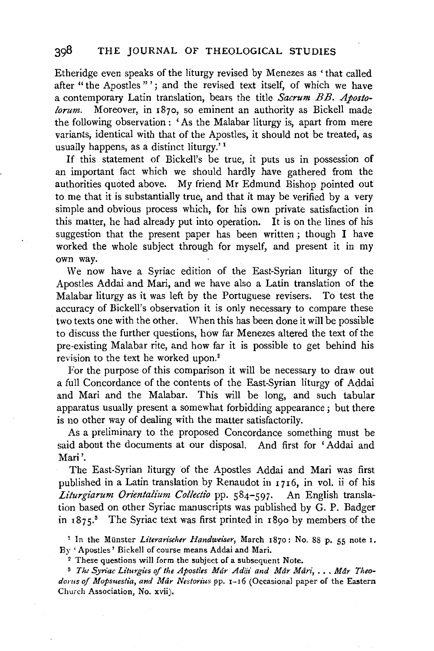Etheridge even speaks of the liturgy revised by Menezes as ' that called after "the Apostles"'; and the revised text itself, of which we have a contemporary Latin translation, bears the title *Sacrum BB. Apostolorum.* Moreover, in 187o, so eminent an authority as Bickell made the following observation : 'As the Malabar liturgy is, apart from mere variants, identical with that of the Apostles, it should not be treated, as usually happens, as a distinct liturgy.' 1

If this statement of Bickell's be true, it puts us in possession of an important fact which we should hardly have gathered from the authorities quoted above. My friend Mr Edmund Bishop pointed out to me that it is substantially true, and that it may be verified by a very simple and obvious process which, for his own private satisfaction in this matter, he had already put into operation. It is on the lines of his suggestion that the present paper has been written; though I have worked the whole subject through for myself, and present it in my own way.

We now have a Syriac edition of the East-Syrian liturgy of the Apostles Addai and Mari, and we have also a Latin translation of the Malabar liturgy as it was left by the Portuguese revisers. To test the accuracy of Bickell's observation it is only necessary to compare these two texts one with the other. When this has been done it will be possible to discuss the further questions, how far Menezes altered the text of the pre-existing Malabar rite, and how far it is possible to get behind his revision to the text he worked upon.<sup>2</sup>

For the purpose of this comparison it will be necessary to draw out a full Concordance of the contents of the East-Syrian liturgy of Addai and Mari and the Malabar. This will be long, and such tabular apparatus usually present a somewhat forbidding appearance ; but there is no other way of dealing with the matter satisfactorily.

As a preliminary to the proposed Concordance something must be said about the documents at our disposal. And first for ' Addai and Mari'.

The East-Syrian liturgy of the Apostles Addai and Mari was first published in a Latin translation by Renaudot in 1716, in vol. ii of his *Liturgiarum Orientalium Col/ectlo* pp. 584-597. An English translation based on other Syriac manuscripts was published by G. P. Badger in  $1875$ .<sup>8</sup> The Syriac text was first printed in  $1890$  by members of the

1 In the Munster *Literarischer Handweiser,* March 1870: No. 88 p. 55 note 1. By 'Apostles' Bickell of course means Addai and Mari.

<sup>2</sup> These questions will form the subject of a subsequent Note.

<sup>8</sup> The Syriac Liturgies of the Apostles Mâr Adäi and Mâr Mâri, ... Mâr Theo*dorus of Mopsuesfia, and Mar Nes/orius* pp. r-16 (Occasional paper of the Eastern Church Association, No. xvii).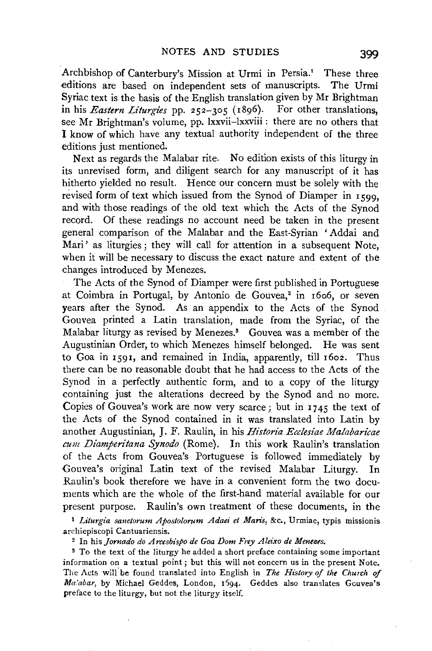Archbishop of Canterbury's Mission at Urmi in Persia.<sup>1</sup> These three editions are based on independent sets of manuscripts. The Urmi Syriac text is the basis of the English translation given by Mr Brightman in his *Eastern Liturgies* pp. 252-305 (r896). For other translations, see Mr Brightman's volume, pp. lxxvii-lxxviii : there are no others that I know of which have any textual authority independent of the three editions just mentioned.

Next as regards the Malabar rite. No edition exists of this liturgy in its unrevised form, and diligent search for any manuscript of it has hitherto yielded no result. Hence our concern must be solely with the revised form of text which issued from the Synod of Diamper in 1599, and with those readings of the old text which the Acts of the Synod record. Of these readings no account need be taken in the present general comparison of the Malabar and the East-Syrian ' Addai and Mari' as liturgies; they will call for attention in a subsequent Note, when it will be necessary to discuss the exact nature and extent of the changes introduced by Menezes.

The Acts of the Synod of Diamper were first published in Portuguese at Coimbra in Portugal, by Antonio de Gouvea,<sup>2</sup> in 1606, or seven years after the Synod. As an appendix to the Acts of the Synod Gouvea printed a Latin translation, made from the Syriac, of the Malabar liturgy as revised by Menezes.<sup>8</sup> Gouvea was a member of the Augustinian Order, to which Menezes himself belonged. He was sent to Goa in 1591, and remained in India, apparently, till r6o2. Thus there can be no reasonable doubt that he had access to the Acts of the Synod in a perfectly authentic form, and to a copy of the liturgy containing just the alterations decreed by the Synod and no more. Copies of Gouvea's work are now very scarce; but in 1745 the text of the Acts of the Synod contained in it was translated into Latin by another Augustinian, J. F. Raulin, in his *Historia Ecclesiae Malabaricae*  cum Diamperitana Synodo (Rome). In this work Raulin's translation of the Acts from Gouvea's Portuguese is followed immediately by ·Gouvea's original Latin text of the revised Malabar Liturgy. In Raulin's book therefore we have in a convenient form the two documents which are the whole of the first-hand material available for our present purpose. Raulin's own treatment of these documents, in the

<sup>1</sup> Liturgia sanctorum Apostolorum Adaei et Maris, &c., Urmiae, typis missionis archiepiscopi Cantuariensis.

2 In his *]amado do Arcesbispo de Goa Dam Frey Aleixo de Mmezes.* 

8 To the text of the liturgy he added a short preface containing some important information on a textual point ; but this will not concern us in the present Note. The Acts will be found translated into English in *The History of the Church of Ma'abar*, by Michael Geddes, London, 1694. Geddes also translates Gouvea's preface to the liturgy, but not the liturgy itself.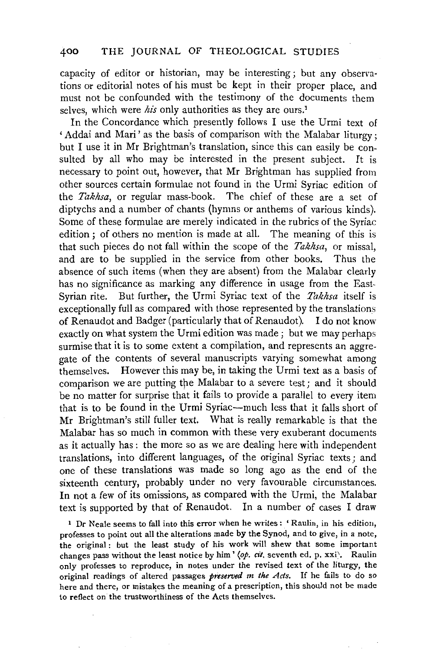capacity of editor or historian, may be interesting; but any observations or editorial notes of his must be kept in their proper place, and must not be confounded with the testimony of the documents them selves, which were *his* only authorities as they are ours.<sup>1</sup>

In the Concordance which presently follows I use the Urmi text of ' Addai and Mari ' as the basis of comparison with the Malabar liturgy ; but I use it in Mr Brightman's translation, since this can easily be consulted by all who may be interested in the present subject. It is necessary to point out, however, that Mr Brightman has supplied from other sources certain formulae not found in the Urmi Syriac edition of the *Takhsa,* or regular mass-book. The chief of these are a set of diptychs and a number of chants (hymns or anthems of various kinds). Some of these formulae are merely indicated in the rubrics of the Syriac edition ; of others no mention is made at alL The meaning of this is that such pieces do not fall within the scope of the *Takhsa,* or missal, and are to be supplied in the service from other books. Thus the absence of such items (when they are absent) from the Malabar clearly has no significance as marking any difference in usage from the East-Syrian rite. But further, the Urmi Syriac text of the *Takhsa* itself is exceptionally full as compared with those represented by the translations of Renaudot and Badger (particularly that of Renaudot). I do not know exactly on what system the Urmi edition was made; but we may perhaps surmise that it is to some extent a compilation, and represents an aggregate of the contents of several manuscripts varying somewhat among themselves. However this may be, in taking the Urmi text as a basis of comparison we are putting the Malabar to a severe test; and it should be no matter for surprise that it fails to provide a parallel to every item that is to be found in the Urmi Syriac-much less that it falls short of Mr Brightman's still fuller text. What is really remarkable is that the Malabar has so much in common with these very exuberant documents as it actually has : the more so as we are dealing here with independent translations, into different languages, of the original Syriac texts; and one of these translations was made so long ago as the end of the sixteenth century, probably under no very favourable circumstances. In not a few of its omissions, as compared with the Urmi, the Malabar text is supported by that of Renaudot. In a number of cases I draw

1 Dr Neale seems to fall into this error when he writes: 'Raulin, in his editiou, professes to point out all the alterations made by the Synod, and to give, in a note, the original: but the least study of his work will shew that some important changes pass without the least notice by him' (op. cit. seventh ed. p. xxi). Raulin only professes to reproduce, in notes under the revised text of the liturgy, the original readings of altered passages *preserved in the Acts*. If he fails to do so here and there, or mistakes the meaning of a prescription, this should not be made to reflect on the trustworthiness of the Acts themselves.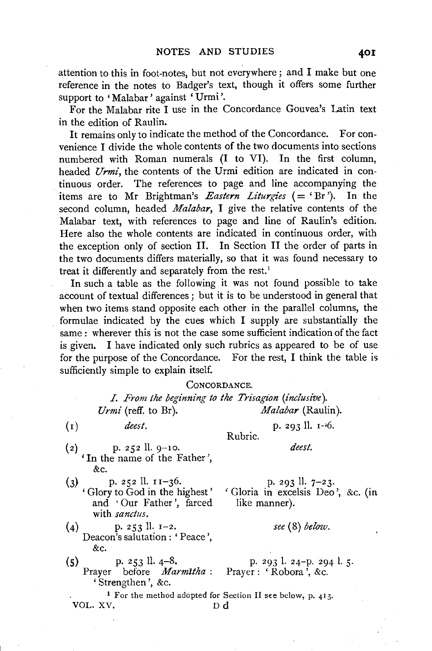attention to this in foot-notes, but not everywhere; and I make but one reference in the notes to Badger's text, though it offers some further support to 'Malabar' against 'Urmi '.

For the Malabar rite I use in the Concordance Gouvea's Latin text in the edition of Raulin.

It remains only to indicate the method of the Concordance. For convenience I divide the whole contents of the two documents into sections numbered with Roman numerals (I to VI). In the first column, headed *Urmi*, the contents of the Urmi edition are indicated in continuous order. The references to page and line accompanying the items are to Mr Brightman's *Eastern Liturgies*  $( = 'Br')$ . In the second column, headed *Malabar,* I give the relative contents of the Malabar text, with references to page and line of Raulin's edition. Here also the whole contents are indicated in continuous order, with the exception only of section II. In Section II the order of parts in the two documents differs materially, so that it was found necessary to treat it differently and separately from the rest.<sup>1</sup>

In such a table as the following it was not found possible to take account of textual differences ; but it is to be understood in general that when two items stand opposite each other in the parallel columns, the formulae indicated by the cues which I supply are substantially the same : wherever this is not the case some sufficient indication of the fact is given. I have indicated only such rubrics as appeared to be of use for the purpose of the Concordance. For the rest, I think the table is sufficiently simple to explain itself.

# CoNCORDANCE.

|                                                                                                                 | I. From the beginning to the Trisagion (inclusive).                                                             |
|-----------------------------------------------------------------------------------------------------------------|-----------------------------------------------------------------------------------------------------------------|
| Urmi (reff. to Br).                                                                                             | <i>Malabar</i> (Raulin).                                                                                        |
| $\bf (i)$<br>deest.                                                                                             | р. 293 ll. 1-6.                                                                                                 |
|                                                                                                                 | Rubric.                                                                                                         |
| (2) p. 252 ll. 9-10.<br>'In the name of the Father',                                                            | deest.                                                                                                          |
| &c.                                                                                                             |                                                                                                                 |
| and 'Our Father', farced like manner).<br>with sanctus.                                                         | (3) p. 252 ll. $11-36$ . p. 293 ll. $7-23$ .<br>'Glory to God in the highest' 'Gloria in excelsis Deo', &c. (in |
| (4) p. 253 ll. $I-2$ .<br>Deacon's salutation : 'Peace',<br>&с.                                                 | see (8) below.                                                                                                  |
| (5) p. 253 ll. 4-8. p. 293 l. 24-p. 29<br>Prayer before $Marmitha$ : Prayer: 'Robora', &c.<br>'Strengthen', &c. | p. 293 l. 24-p. 294 l. 5.                                                                                       |
|                                                                                                                 | <sup>1</sup> For the method adopted for Section II see below, p. 413.                                           |
| VOL. XV.                                                                                                        | D d                                                                                                             |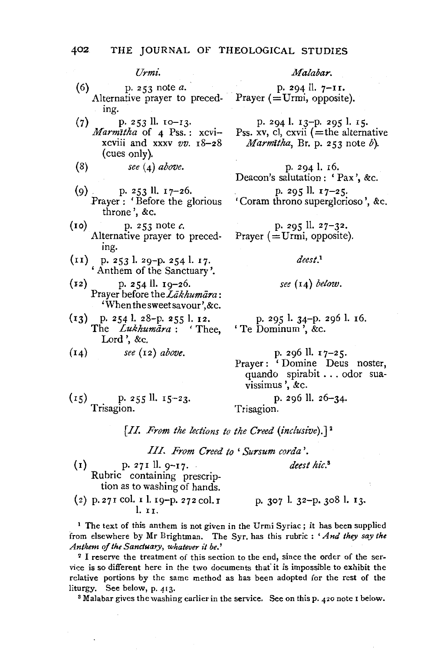- (6) p. 253 note *a.*  Alternative prayer to preceding.
- $(7)$  p. 253 ll. 10-13. *Marmltha* of 4 Pss. : xcvixcviii and xxxv *vv.* I8-28 (cues only).
- $(8)$  *see*  $(4)$  *above.*
- $(9)$  p. 253 ll. 17-26. Prayer : ' Before the glorious throne', &c.
- $(10)$  p. 253 note *c.* Alternative prayer to preceding.
- $(i)$  p. 253 l. 29-p. 254 l. 17. ' Anthem of the Sanctuary'.
- $(12)$  p. 254 ll. 19-26. Prayer before the Läkhumära: 'When the sweet savour ',&c.
- $(13)$  p. 254 l. 28-p. 255 l. 12. The *Lukhumara* : 'Thee, Lord', &c.
- (I4) *see* (I2) *above.*
- *Malabar.*
- p. 294 11. 7-II. Prayer  $($ =Urmi, opposite).
- p. 294 1. I3-P· 29S 1. IS. Pss. xv, cl,  $c$ xvii (=the alternative *Marmitha*, Br. p. 253 note b).
- p. 294 1. I6. Deacon's salutation: 'Pax', &c. p. 29S 11. 17-2s. ' Coram throno superglorioso ', &c.
- p. 295 ll. 27–32. Prayer  $($  = Urmi, opposite).
	- *deest.* <sup>1</sup>

*see* (14) *below.* 

- p. 29s 1. 34-P· 296 1. I6. ' Te Dominum ', &c.
- p. 296 ll. I7-2s. Prayer: 'Domine Deus noster, quando spirabit ... odor suavissimus ', &c.

p. 296 11. 26-34·

 $(15)$  p. 255 ll.  $15-23$ . Trisagion.

Trisagion.

*[II. From the lections to the Creed (inclusive).]* <sup>2</sup>

*III. From Creed to' Sursum corda* '.

- 
- (I) P· 27I ll. 9-J7. *deest hic.8*  Rubric containing prescription as to washing of hands.
- (2) p. 271 col. I l. 19-p. 272 col. I p. 307 l. 32-p. 308 l. 13. 1. I I.

<sup>1</sup> The text of this anthem is not given in the Urmi Syriac; it has been supplied from elsewhere by Mr Brightman. The Syr. has this rubric : *'And they say the Anthem of the Sanctuary, whatever it be.'* 

<sup>2</sup> I reserve the treatment of this section to the end, since the order of the service is so different here in the two documents thaf it is impossible to exhibit the relative portions by the same method as has been adopted for the rest of the liturgy. See below, p. 413.  $\frac{3}{4}$  Malabar gives the washing earlier in the service. See on this p. 420 note 1 below.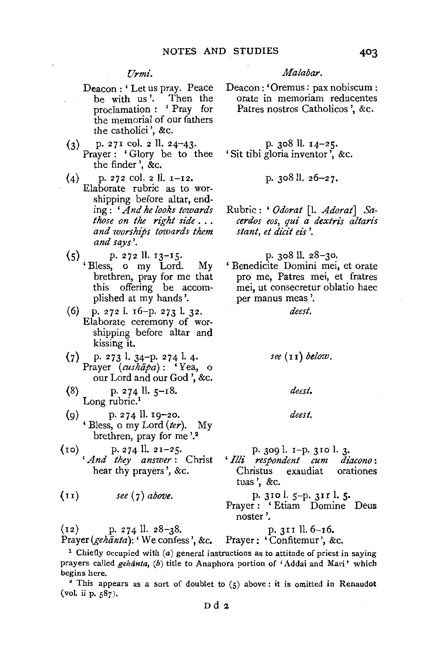- Deacon: 'Let us pray. Peace<br>be with us'. Then the be with us'. proclamation : ' Pray for the memorial of our fathers the catholici ', &c.
- (3) p. 271 col. 2 11. 24-43. Prayer : ' Glory be to thee the finder', &c.
- (4) p. 272 col. 2 ll.  $1-12$ .
	- Elaborate rubric as to worshipping before altar, ending : ' *And he looks towards those on the right side* ... *and worships towards them and says'.*
- $(5)$  p. 272 ll. 13–15. 'Bless, o my Lord. My brethren, pray for me that this offering be accomplished at my hands'.
- (6) p. 272 1. 16-p. 273 1. 32. Elaborate ceremony of worshipping before altar and kissing it.
- $(7)$  p. 273 l. 34–p. 274 l. 4. Prayer *(cushapa)*: 'Yea, o our Lord and our God ', &c.
- (8) p. 274 ll.  $5-18$ . Long rubric.<sup>1</sup>
- (9)  $p. 274$  ll. 19-20. ' Bless, o my Lord *(ter).* My brethren, pray for me '.2
- $(10)$  p. 274 ll. 21-25. *'And they answer:* Christ hear thy prayers', &c.
- $(11)$  *see*  $(7)$  *above.*

*Urmi. Malabar.* 

Deacon : 'Oremus : pax nobiscum : orate in memoriam reducentes Patres nostros Catholicos ', &c.

## p. 308 11. 14-25. 'Sit tibi gloria inventor', &c.

p. 30811. 26-27.

Rubric : ' *Odorat* [1. *Adoral] Sacenios eos, qui a dextris altan·s stant, et dicit eis* '.

p. 308 11. 28-30.

' Benedicite Domini mei, et orate pro me, Patres mei, et fratres mei, ut consecretur oblatio haec per manus meas '.

*de est.* 

*see* (II) *below.* 

#### *de est.*

#### *deest.*

- p. 3091. 1-p. 310 J. 3• ' *Illi respondent cum diacono* : Christus exaudiat orationes tuas ', &c.
- p. 310 1. 5-p. 31I l, **5•**  Prayer : ' Etiam Domine Deus noster'.

 $(12)$  p. 274 ll. 28-38. Prayer *(gehānta*): ' We confess', &c. p. 311 ll. 6-16.<br>Prayer: 'Confitemur', &c.

<sup>1</sup> Chiefly occupied with (a) general instructions as to attitude of priest in saying prayers called *gehänta*, (b) title to Anaphora portion of 'Addai and Mari' which begins here.

" This appears as a sort of doublet to  $(5)$  above: it is omitted in Renaudot (vol. ii p.  $587$ ).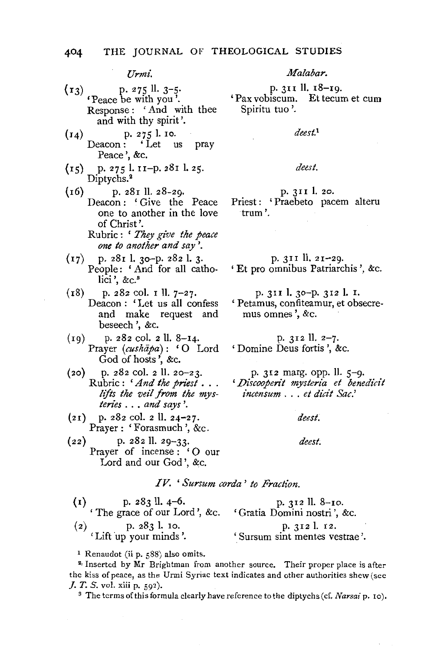- $(r_3)$  p. 275 ll. 3-5. 'Peace be with you'. Response : ' And with thee and with thy spirit'.
- $(r_4)$  p. 275 l. 10. Deacon: 'Let us pray Peace', &c.
- $(15)$  p. 275 l. II-p. 28I l. 25. Diptychs.<sup>2</sup>
- $(16)$  p. 28 Il. 28-29. Deacon: 'Give the Peace one to another in the love of Christ'. Rubric : ' *They give the peace*
- $(17)$  p. 281 l. 30-p. 282 l. 3. People: 'And for all catholici',  $&c.<sup>8</sup>$

*one to another and say* '.

- $(18)$  p. 282 col. 1 ll.  $7-27$ . Deacon : ' Let us all confess and make request and beseech', &c.
- $(19)$  p. 282 col. 2 ll. 8–14. Prayer *(cushapa)*: 'O Lord God of hosts ', &c.
- (2o) p. 282 col. 2 11. 20-23. Rubric : *'And the priest* . *lifts the veil from the mysteries* ... *and says* '.
- (21) p. 282 col. 2 II. 24-27. Prayer: 'Forasmuch', &c.
- (22) p. 282 11. 29-33· Prayer of incense: 'O our Lord and our God', &c.

#### *Malabar.*

p. 311 ll. 18-19. ' Pax vobiscum. Et tecum et cum Spiritu tuo '.

#### *deest.1*

### *dee st.*

p. 311 I. 20. Priest: 'Praebeto pacem alteru trum'.

p. 311 11. 21-29. 'Et pro omnibus Patriarchis ',&c.

P· 3II 1. 30-p. 312 I. I. 'Petamus, confiteamur, et obsecremus omnes ', &c.

p. 3I2 II. 2-7. 'Domine Deus fortis', &c.

p.  $312$  marg. opp. ll.  $5-9$ . *'Discooperit mysteria et benedicit incensum* ... *et dicit Sac.'* 

#### *deest.*

*dee st.* 

## *IV.* ' *Sursum corda* ' *to Fraction.*

| $\left( 1 \right)$<br>p. $283$ ll. $4-6$ .<br>The grace of our Lord', &c. | p. 312 ll. 8–10.<br>'Gratia Domini nostri', &c. |
|---------------------------------------------------------------------------|-------------------------------------------------|
| $(2)$ p. $283$ l. io.                                                     | p. 312 l. 12.                                   |
| 'Lift up your minds'.                                                     | 'Sursum sint mentes vestrae'.                   |

1 Renaudot (ii p. 588) also omits.

<sup>2</sup><sup>,</sup> Inserted by Mr Brightman from another source. Their proper place is after the kiss of peace, as the Urmi Syriac text indicates and other authorities shew (see *J. T. S.* vol. xiii p. 592). 3 The terms of this formula clearly have reference to the diptychs (cf. *Narsai* p. 10).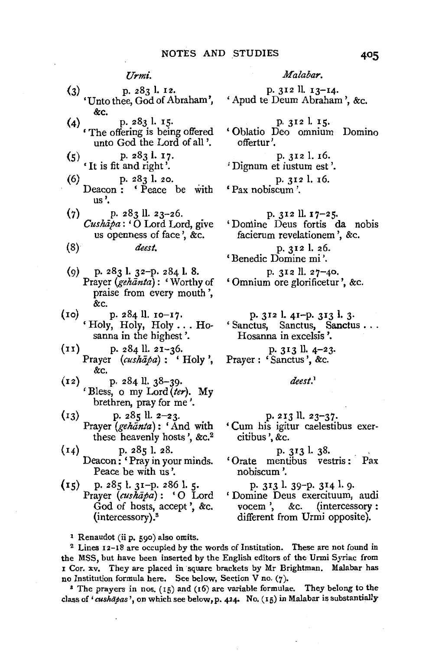- (3) p.  $283$  l. 12.<br>'Unto thee, God of Abraham', &c.
- (4) p.  $283 \text{ l. } 15$ ' The offering is being offered unto God the Lord of all'.
- (5)  $p. 2831.77.$ ' It is fit and right '.
- (6) p. 283 1. 20. Deacon : ' Peace be with us'.
- $(7)$  p. 283 ll. 23–26. *Cushiipa* : ' 0 Lord Lord, give us openness of face ', &c.

$$
(8) \t\t deest.
$$

- (9) p. 283 l. 32-p. 284 l. 8. Prayer *(gehanta)*: 'Worthy of praise from every mouth ', &c.
- $(10)$  p. 284 ll.  $10-17$ . ' Holy, Holy, Holy •.. Hosanna in the highest'.
- $(n)$  p. 284 ll. 21-36. Prayer *(cushapa)* : 'Holy', &c.
- $(12)$  p. 284 ll. 38-39. 'Bless, o my Lord *(ter).* My brethren, pray for me'.
- $(13)$  p. 285 ll. 2-23. Prayer (gehanta): 'And with these heavenly hosts',  $\&c$ <sup>2</sup>
- $(14)$  p. 285 l. 28. Deacon: 'Pray in your minds. Peace be with us '.
- $(r_5)$  p. 285 l. 31-p. 286 l. 5. Prayer *(cushapa)* : 'O Lord God of hosts, accept ', &c.  $(intercessory).$

*Malabar.* 

p. 312 ll. 13-14. 'Apud te Deum Abraham', &c.

- p. 312 l. 15· ' Oblatio Deo omnium Domino offertur'.
- p. 312 1. 16. 'Dignum et iustum est '. p. 312 1. 16.

'Pax nobiscum '.

- p. 312 ll. 17-25. 'Domine Deus fortis da nobis facierum revelationem ', &c.
- p. 312 1. 26. 'Benedic Domine mi '. p. 312 11. 27-40·
- ' Omnium ore glorificetur ', &c.
	- p. 312 1. 41-p. 313 1. 3·
- ' Sanctus, Sanctus, Sanctus . . . Hosanna in excelsis '.
- p. 313 11. 4-23· Prayer: 'Sanctus ', &c.

# $deest.$ <sup>1</sup>

- p. 213 11. 23-37.
- ' Cum his igitur caelestibus exercitibus ',&c.
	- p. 313 1. 38.
- 'Orate mentibus vestris *:* Pax nobiscum '.

P· 313 1. 39-P· 314 1. 9·

' Domine Deus exercituum, audi vocem ', &c. (intercessory *:* different from Urmi opposite).

1 Renaudot (ii p. 590) also omits.

2 Lines I 2-18 are occupied by the words of Institution. These are not found in the MSS, but have been inserted by the English editors of the Urmi Syriac from I Cor. xv. They are placed in square brackets by Mr Brightman. Malabar has no Institution formula here. See below, Section V no. (7).<br><sup>3</sup> The prayers in nos. (15) and (16) are variable formulae. They belong to the

class of 'cushapas', on which see below, p. 424. No. (15) in Malabar is substantially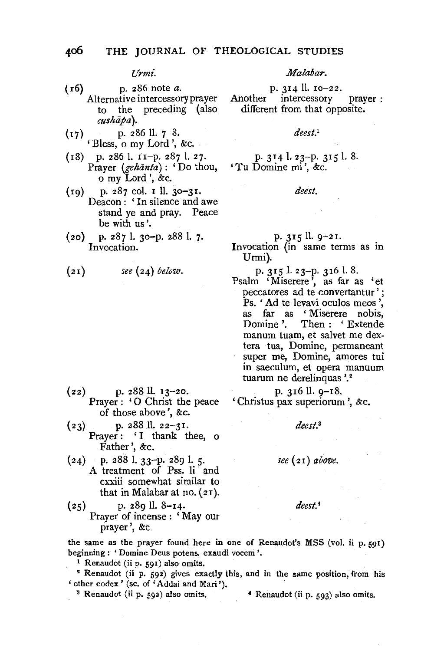- ( r6) p. 286 note *a.* Alternative intercessory prayer to the preceding (also *cushiipa).*
- $(r7)$  p. 286 ll.  $7-8$ . ' Bless, o my Lord ', &c ..
- (r8) p. 286l. 11-p. 287 1. 27. Prayer *(gehanta):* 'Do thou, o my Lord ', &c.
- (r9) p. 287 col. r II. 30-31. Deacon : ' In silence and a we stand ye and pray. Peace be with us'.
- (2o) p. 287 1. 30-p. 288 1. 7· Invocation.

$$
(21) \qquad \qquad \text{see (24) below.}
$$

- $(22)$  p. 288 ll. 13–20. Prayer : 'O Christ the peace of those above', &c.
- $(23)$  p. 288 ll. 22-31. Prayer: 'I thank thee, o Father', &c.
- $(24)$  p. 288 l. 33-p. 289 l. 5. A treatment of Pss. li and cxxiii somewhat similar to that in Malabar at no.  $(21)$ .
- $(25)$  p. 289 ll. 8–14. Prayer of incense : 'May our prayer', &c.

# p. 314 11. 10-22. Another intercessory prayer : different from that opposite.

#### $deest<sup>1</sup>$

*Malabar.* 

P· 314 1. 23-p. 315 1. 8. 'Tu Domine mi ', &c.

#### *dee st.*

# p. 315 II. 9-21.

Invocation (in same terms as in Urmi).

p. 315 1. 23-p. 316 1. 8.

- Psalm 'Miserere', as far as 'et peccatores ad te convertantur' ; Ps. 'Ad te levavi oculos meos ', as far as 'Miserere nobis,<br>Domine'. Then : 'Extende Then : 'Extende manum tuam, et salvet me dextera tua, Domine, permaneant super me, Domine, amores tui in saeculum, et opera manuum tuarum ne derelinquas '.<sup>2</sup>
	- p. 316 II. 9-r8.

' Christus pax superiorum ', &c.

#### *deest.3*

#### *see* ( 21) *above.*

# *deest. <sup>4</sup>*

the same as the prayer found here in one of Renaudot's MSS (vol. ii p. 591) beginning : ' Domine Deus potens, exaudi vocem '.<br>
<sup>1</sup> Renaudot (ii p. 591) also omits.<br>
<sup>2</sup> Renaudot (ii p. 592) gives exactly this, and in the same position, from his

' other codex' (sc. of 'Addai and Mari '). 3 Renaudot (ii p. 592) also omits. *4* Renaudot (ii p. 593) also omits.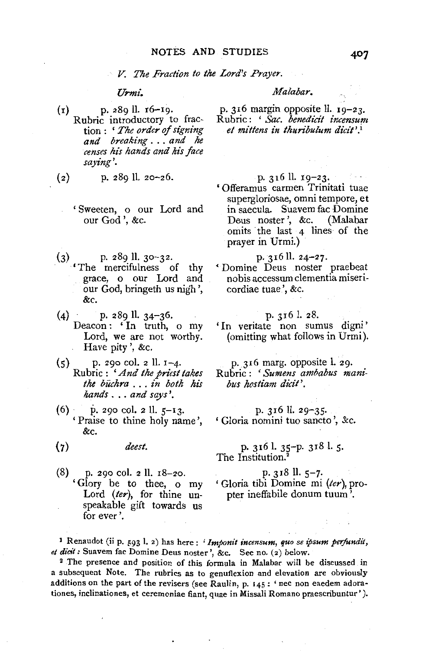# *V. The Fraction to the Lord's Prayer.*

# *Urmi.*

# (1) p. 289 ll. 16-19. Rubric introductory to fraction : ' *The order of signing and breaking* ... *and he censes his hands and his face saying'.*

- ' Sweeten, o our Lord and our God', &c.
- (3) p. 289 ll. 30-32. 'The mercifulness of thy grace, o our Lord and our God, bringeth us nigh ', &c.
- $(4)$  p. 289 ll. 34-36. Deacon : ' In truth, o my Lord, we are not worthy. Have pity', &c.
- $(5)$  p. 290 col. 2 ll.  $1-4$ . Rubric : *'And the priest takes the biichra* . . . *in both his hands .* .. *and says'.*
- $(6)$  p. 290 col. 2 ll. 5–13. ' Praise to thine holy name', &c.
- $(7)$ *dee st.*
- (8) p. 290 col. 2 ll. 18-20. ' Glory be to thee, o my Lord *(ter)*, for thine unspeakable gift towards us for ever'.

*Malabar.* 

p. 316 margin opposite ll.  $19-23$ . Rubric: ' *Sac. benedicit incensum et mittens in thuribulum dicit'* .i

#### p. 316 ll.  $19-23$ .

'Offeramus carmen Trinitati tuae supergloriosae, omni tempore, et in saecula. Suavem fac Domine Deus noster ', &c. (Malabar omits the last 4 lines of the prayer in Urmi.)

#### p. 31611. 24-27.

' Domine Deus noster praebeat nobis accessum clementia misericordiae tuae', &c.

# p. 316 1. 28.

- ' In veritate non sumus digni' (omitting what follows in Urmi).
- p. 316 marg. opposite l. 29. Rubric: *'Sumens ambabus manibus hostiam dicit'.*

p. 316 11. 29-35· ' Gloria nomini tuo sancto', &c.

P· 3161. 35-p. 318 1. 5· The Institution.<sup>2</sup>

p. 318 ll. 5-7. ' Gloria tibi Domine mi *(ter),* propter ineffabile donum tuum '.

1 Renaudot (ii p. 593 l. 2) has here: *'Imponit incensum, quo se ipsum perfundit*,

*et dicit:* Suavem fac Domine Deus noster', &c. See no. (2) below. <sup>2</sup> The presence and position of this formula in Malabar will be discussed in a subsequent Note. The rubrics as to genuflexion and elevation are obviously additions on the part of the revisers (see Raulin, p. 145; 'nee non eaedem adorationes, inclinationes, et ceremoniae fiant, quae in Missali Romano praescribuntur' ).

 $(2)$  p. 289 ll. 20–26.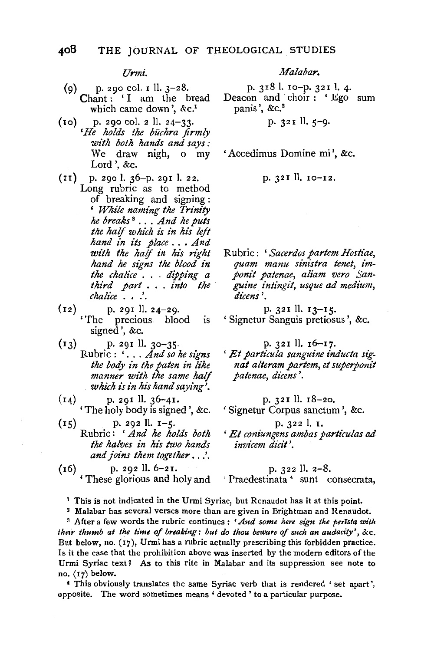- (9) p. 290 col. 1 ll. 3-28. Chant: 'I am the bread which came down', &c.1
- $(10)$  p. 290 col. 2 ll. 24-33. *'He holds the buchra firmly 'With both hands and says:*  We draw nigh, o my Lord ', &c.
- (n) p. 290 l. 36-p. 29I I. 22. Long rubric as to method of breaking and signing : ' *While naming the Trinity he breaks* 8 ••• *And he puts the half which is in his left hand in its place* ..• *And*  with the half in his right *hand he signs the blood in the chalice* . . . *dipping a third part* . . . *into the chalice* .. .'.
- $(12)$  p. 291 ll. 24-29. 'The precious blood is signed ', &c.
- $(13)$  p. 291 ll. 30-35. Rubric: ' ... *And so he signs the body in the paten in like manner with the same half which is in his hand saying'.*
- $(r_4)$  p. 291 ll. 36-41. 'The holy body is signed', &c.
- (rs) p. 292 11. r-s- Rubric: *'And he holds both the halves in hi's two hands and joins them together* . . ..
- $(16)$  p. 292 ll. 6-21. 'These glorious and holy and

#### *Malabar.*

p. 318 l. 10-p. 321 1. 4• Deacon and choir: 'Ego sum panis', &c.<sup>2</sup>

p. 321 11. s-9-

'Accedimus Domine mi ', &c.

p. 321 11. 10-12.

- Rubric : *'Sacerdos partem Hostiae, quam manu sinistra tenet, imponit patenae, aliam vero Sanguine intingit, usque ad medium,*  dicens'.
- p. 321 ll. 13-15.<br>Signetur Sanguis pretiosus', &c.

# p. 321 ll. r6-17.

' Et particula sanguine inducta sig*nal alteram partem, et superponz"t patenae, dicens* '.

### p. 321 11. r8-2o.

' Signetur Corpus sanctum ', &c.

#### p. 322 l. I.

' *Et coniungens ambas particulas ad invicem dicit'.* 

#### p. 322 11. 2-8.

'Praedestinata 4 sunt consecrata,

<sup>1</sup> This is not indicated in the Urmi Syriac, but Renaudot has it at this point.

2 Malabar has several verses more than are given in Brightman and Renaudot. 3 After a few words the rubric continues : *'And some here sign the petista with their thumb at the time of breaking: but do thou beware of such an audacity',* &c. But below, no. (i7), Urmi has a rubric actually prescribing this forbidden practice. Is it the case that the prohibition above was inserted by the modern editors of the Urmi Syriac text! As to this rite in Malabar and its suppression see note to no.  $(17)$  below.<br> **4** This obviously translates the same Syriac verb that is rendered 'set apart',

opposite. The word sometimes means ' devoted ' to a particular purpose. .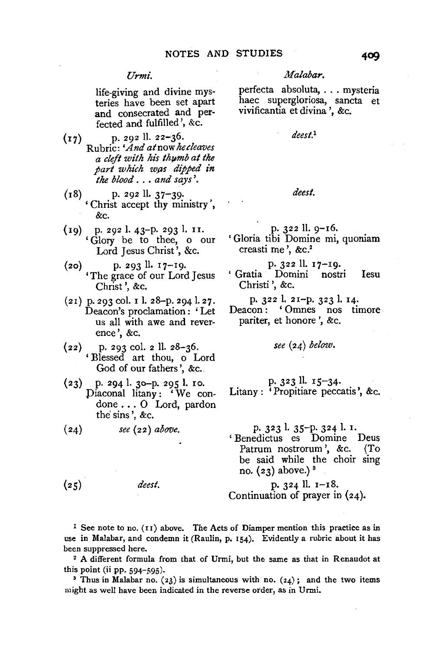life-giving and divine mysteries have been set apart and consecrated and perfected and fulfilled', &c.

- $(r_7)$  p. 292 ll. 22–36. Rubric: *'And atnowhedeaves a cleft with his th1,11nb at the part which wps dipped in the blood .* .. *and says'.*
- (18) p. 292 ll. 37-39· 'Christ accept thy ministry', &c.
- (19) p. 2921. 43-P· 293 1. II. ' Glory be to thee, o our Lord Jesus Christ', &c.
- (2o) p. 293 ll. 17-19. 'The grace of our Lord Jesus Christ ', &c.
- (21) p. 293 col. 1 1. 28-p. 294l. 27. Deacon's proclamation: ' Let us all with awe and reverence', &c.
- (22) p. 293 col. 2 11. 28-36. ' Blessed art thou, o Lord God of our fathers', &c.
- (23) p. 294 1. 30-p. 295 1. 10. Piaconal litany: 'We condone ... 0 Lord, pardon the' sins', &c.

*deest.* 

(24) *see* (22) *above.* 

# $(25)$

### *Urmi. Malabar.*

perfecta absoluta, ... mysteria haec supergloriosa, sancta et vivificantia et divina ', &c.

#### *deest. <sup>1</sup>*

#### *deest.*

- p. 322 11. 9-16. ' Gloria tibi Domine mi, quoniam creasti me', &c.<sup>2</sup>
- P· 322 11. I7-I9· ' Gratia Domini nostri Iesu Christi', &c.
- p. 322 1. 21-p. 323 1. 14. Deacon : ' Omnes nos timore pariter, et honore ', &c.

*see* (24) *below.* 

p. 323 11. 15-34· Litany : 'Propitiare peccatis', &c.

P· 323 1. 35-p. 324 1. I. ' Benedictus es Domine Deus Patrum nostrorum', &c. be said while the choir sing no.  $(23)$  above.)<sup>3</sup>

# P· 324 11. I-18. Continuation of prayer in (24).

1 See note to no. (II) above. The Acts of Diamper mention this practice as in use in Malabar, and condemn it (Raulin, p. 154). Evidently a rubric about it has been suppressed here.<br>2 A different formula from that of Urmi, but the same as that in Renaudot at

this point (ii pp. 594-595).

<sup>3</sup> Thus in Malabar no.  $(23)$  is simultaneous with no.  $(24)$ ; and the two items might as well have been indicated in the reverse order, as in Urmi.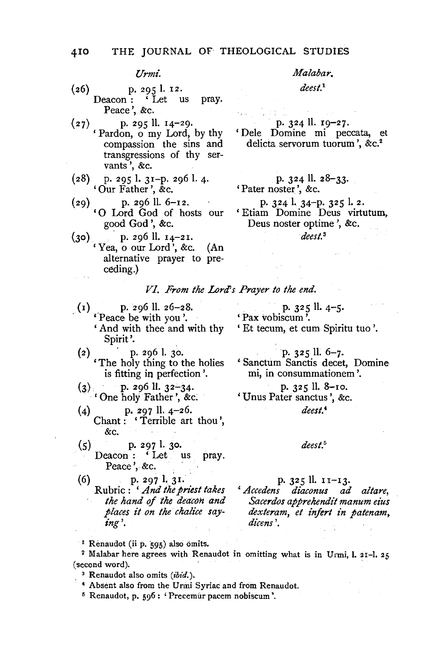- $(26)$  p. 295 l. 12. Deacon: 'Let us pray. Peace', &c.
- $(27)$  p. 295 ll. 14-29. ' Pardon, o my Lord, by thy compassion the sins and transgressions of thy servants', &c.
- $(28)$  p. 295 l. 31-p. 296 l. 4. 'Our Father', &c.
- $(29)$  p. 296 ll. 6–12. ' 0 Lord God of hosts our good God ', &c.
- $(30)$  p. 296 ll.  $14-21$ . 'Yea, o our Lord', &c. (An alternative prayer to preceding.)

#### *Malabar.*

*deest. <sup>1</sup>*

p. 324 11. 19-27.

' Dele Domine mi peccata, et delicta servorum tuorum ', &c.2

p. 324 11. 28-33· 'Pater noster', &c.

P· 324 1. 34-p. 325 1. 2. ' Etiam Domine Deus virtutum, Deus noster optime ', &c.

*deest. <sup>3</sup>*

*VI. From the Lord's Prayer to the end.* 

- (r) **p. 296 11. 26-28.** p. 325 11.  $4-5$ . <br>  $\cdot$  Peace be with you '.  $\cdot$  'Pax vobiscum '. 'And with thee and with thy 'Et tecum, et cum Spiritu tuo '. Spirit'.
	- (2)  $p. 296$  l. 30. 'The holy thing to the holies is fitting in perfection'.
	- $(3)$  p. 296 ll. 32–34. 'One holy Father', &c;
	- (4) p. 297 ll.  $4-26$ . Chant : ' Terrible art thou', &c.
	- $(5)$  p. 297 l. 30. Deacon : 'Let us pray. Peace', &c.
	- $(6)$  p. 297 l. 31. Rubric : *'And the priest takes the hand of the deacon and places it on the chalice saying'.*

p. 325 11. 6-7· ' Sanctum Sanctis decet, Domine mi, in consummationem '.

p. 325 11. 8-ro. 'Unus Pater sanctus ',&c. *deest. <sup>4</sup>*

#### *deest.5*

# p. 325 11. 11-13.

' *Accedens diaconus ad a/tare, Sacerdos apprehendit manum eius dexteram, et injert in patenam, dicens'.* 

1 Renaudot (ii p. 595) also omits.

2 Malabar here agrees with Renaudot in omitting what is in Urmi, I. 21-l. 25 (second word).  $\frac{3}{5}$  Renaudot also omits *(ibid.)*.

- 
- Absent also from the Urmi Syriac and from Renaudot. 5 Renaudot, p. 596 : ' Precemur pacem nobiscum '.
-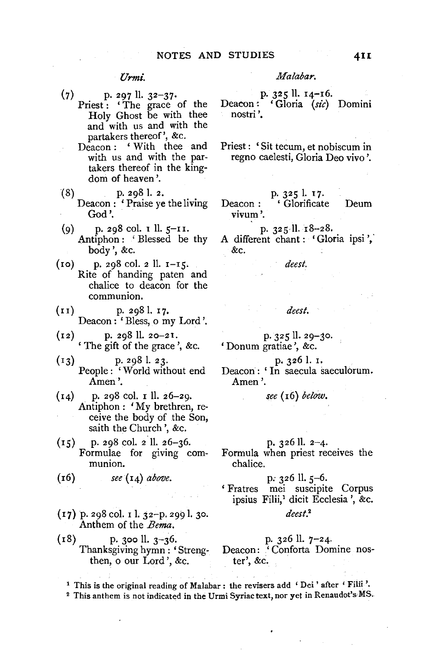- $(7)$  p. 297 ll. 32-37.
	- Priest: 'The grace of the Holy Ghost be with thee and with us and with the partakers thereof', &c.
		- Deacon: ' With thee and with us and with the partakers thereof in the kingdom of heaven'.
- $(8)$  p. 298 l. 2. Deacon : 'Praise ye the living God'.
- (9) p. 298 col. 1 ll. 5–11. Antiphon : ' Blessed be thy body', &c.
- (10) p. 298 col. 2 ll.  $1 15$ . Rite of handing paten and chalice to deacon for the communion,
- (II) p. 298l, 17, Deacon: 'Bless, o my Lord'.
- (12) p. 298 11. 20-21. ' The gift of the grace ', &c.
- $(13)$  p. 298 l. 23. People: 'World without end Amen'.
- $(14)$  p. 298 col. r ll. 26–29. Antiphon : 'My brethren, receive the body of the Son, saith the Church', &c.
- $(r_5)$  p. 298 col. 2 ll. 26-36. Formulae for giving communion.
- (r6) *see* (14) *above.*
- (17) p. 298 col. 1 1. 32-p. 299l. 30. Anthem of the *Bema.*
- $(18)$  p. 300 ll. 3-36. Thanksgiving hymn: 'Strengthen, o our Lord ', &c.

## *Urmi. Malabar.*

p. 325 11. 14-16. Deacon: 'Gloria *(sic)* Domini nostri '.

Priest : 'Sit tecum, et nobiscum in regno caelesti, Gloria Deo vivo'.

p. 325 l. 17. Deacon : 'Glorificate Deum vivum'.

p. 32511. 18-28.

A different chant: 'Gloria ipsi', &c.

*dee st.* 

#### *de est.*

p. 325 11. 29-30. ' Donum gratiae ', &c.

p. 326 1. r. Deacon: 'In saecula saeculorum.

Amen'.

*see* (16) *below.* 

# p. 326 11. 2-4·

Formula when priest receives the chalice.

#### p. 326 ll.  $5-6$ .

' Fratres mei suscipite Corpus ipsius Filii,<sup>1</sup> dicit Ecclesia<sup>'</sup>, &c.

# *deest. <sup>2</sup>*

p. 326 11. 7-24. Deacon: 'Conforta Domine nos-<br>ter', &c.

<sup>1</sup> This is the original reading of Malabar: the revisers add 'Dei' after 'Filii'.<br><sup>2</sup> This anthem is not indicated in the Urmi Syriae text, nor yet in Renaudot's MS.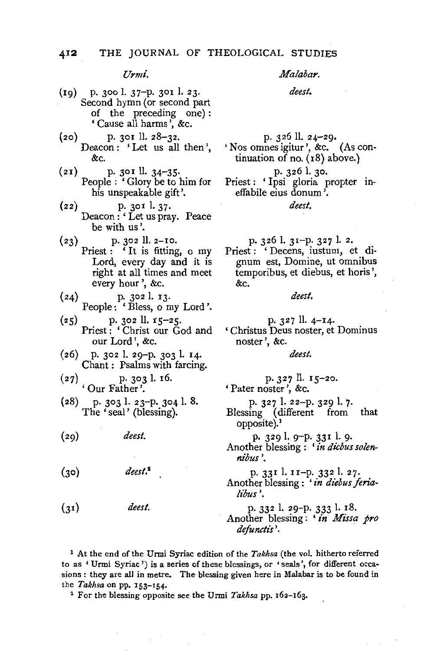- (19) p. 3oo I. 37-p. 301 I. 23. Second hymn (or second part of the preceding one) : ' Cause all harms ', &c.
- (2o) p. 301 ll. 28-32. Deacon: 'Let us all then', &c.
- (21) p. 301 ll. 34-35· People : ' Glory be to him for his unspeakable gift'.
- $(22)$  p. 301 l. 37. Deacon : ' Let us pray. Peace be with us'.
- (23) p. 302 ll. 2-10.<br>Priest : 'It is fitting, o my Lord, every day and it is right at all times and meet every hour ', &c.
- $(24)$  p. 302 l. 13. People: 'Bless, o my Lord'.
- $(25)$  p. 302 ll.  $15-25$ . Priest : ' Christ our God and our Lord', &c.
- (26) p. 302 1. 29-p. 303 1. 14· Chant : Psalms with farcing.
- $(27)$  p. 303 l. 16. ' Our Father'.
- (28) p. 303 1. 23-p. 304 1. 8. The 'seal' (blessing).
- (29) *deest.*
- deest.<sup>2</sup>  $(30)$
- *de est.*   $(31)$

## *Malabar.*

#### *de est.*

p. 326 11. 24-29.

'Nos omnes igitur ', &c. (As continuation of no. (18) above.)

p. 326 1. 30·

Priest : 'Ipsi gloria propter ineffabile eius donum '.

*deest.* 

p. 326 1. 31-p. 327 1. 2.

Priest : 'Decens, iustum, et dignum est, Domine, ut omnibus temporibus, et diebus, et horis ', &c.

#### *deest.*

### p. 327 11. 4-14·

' Christus Deus noster, et Dominus noster', &c.

*deest.* 

# p. 327 ll. 15-20.

' Pater noster', &c.

p. 327 1. 22-p. 329 1. 7·

Blessing (different from that opposite).<sup>1</sup>

P· 329 1. 9-p. 331 1. 9· Another blessing : *'in dicbus so!ennibus* '-

p. 331 1. II-p. 332 1. 27. Another blessing : ' *in diebus jeria- !z"bus* '.

P· 332 1. 29-p. 333 1. r8. Another blessing : ' *in Missa pro dejunctis'.* 

<sup>1</sup> At the end of the Urmi Syriac edition of the *Takhsa* (the vol. hitherto referred to as 'Urmi Syriac ') is a series of these blessings, or 'seals', for different occasions : they are all in metre. The blessing given here in Malabar is to be found in the *Takhsa* on pp. 153-154. 2 For the blessing opposite see the Unni *Takhsa* pp. 162-163.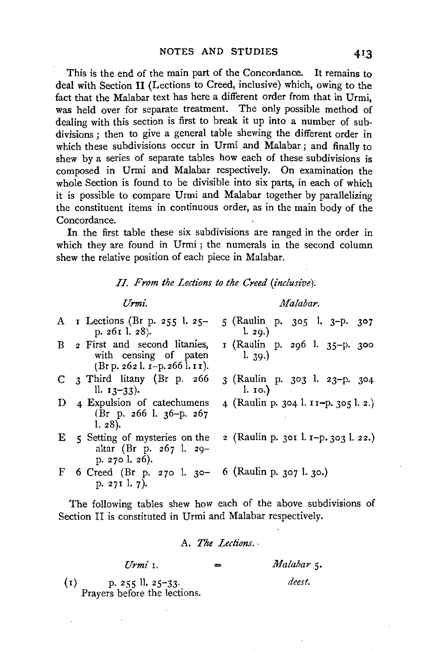This is the end of the main part of the Concordance. It remains to deal with Section II (Lections to Creed, inclusive) which, owing to the fact that the Malabar text has here a different order from that in Urmi, was held over for separate treatment. The only possible method of dealing with this section is first to break it up into a number of subdivisions ; then to give a general table shewing the different order in which these subdivisions occur in Urmi and Malabar; and finally to shew by a series of separate tables how each of these subdivisions is composed in Urmi and Malabar respectively. On examination the whole Section is found to be divisible into six parts, in each of which it is possible to compare Urmi and Malabar together by parallelizing the constituent items in continuous order, as in the main body of the Concordance.

In the first table these six subdivisions are ranged in the order in which they are found in Urmi; the numerals in the second column shew the relative position of each piece in Malabar.

### *II. From the Lections to the Creed (inclusive).*

## *Urmi. Malabar.*

- A I Lections (Br p. 255 l. 25p. 26I I. 28). 255 1. 25- *5* (Raulin p. 305 I. 3-p. 307 1. 29.) B 2 First and second litanies,  $\bar{1}$  (Raulin p. 296 l. 35-p. 300 with censing of paten 1. 39.) with censing of paten  $(Br p. 262$  l.  $I-p. 266$  l.  $I1$ . C 3 Third litany (Br p. 266 3 (Raulin p. 303 l. 23-p. 304 l. 10.) 11.  $r_3$ -33).<br>4 Expulsion of catechumens D<sub>4</sub> Expulsion of catechumens  $4$  (Raulin p. 304 l.  $11-p$ . 305 l. 2.)  $(Br$  p. 266 l. 36-p. 267 1. 28). E *5* Setting of mysteries on the 2 (Raulin p. 301 I. r-p. 303 I. 22.) altar (Br p. 267 I. 29 p. 2 70 I. 26). F 6 Creed (Br p. 270 I. 30- 6 (Raulin p. 307 I. 30.)
- p. 271 I. 7).

The following tables shew how each of the above subdivisions of Section II is constituted in Urmi and Malabar respectively.

# A. *The Lections.* -

# *Urmi* r.

*Malabar* 5·

*deest.* 

 $(r)$  p. 255 ll. 25–33. Prayers before the lections.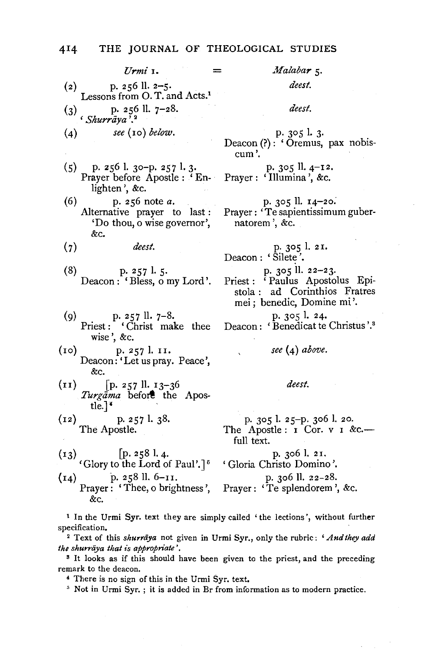|      | $U$ rmi $I$ .                                                                                             | Malabar <sub>5</sub> .                                                                                                                                                                 |
|------|-----------------------------------------------------------------------------------------------------------|----------------------------------------------------------------------------------------------------------------------------------------------------------------------------------------|
| (2)  | p. $256$ ll. $2-5$ .<br>Lessons from O. T. and Acts. <sup>1</sup>                                         | deest.                                                                                                                                                                                 |
|      | p. 256 ll. 7-28.<br>' Shurraya <sup>7</sup> .                                                             | deest.                                                                                                                                                                                 |
| (4)  | see (10) below.                                                                                           | p. 305 l. 3.<br>Deacon (?): 'Oremus, pax nobis-<br>cum'.                                                                                                                               |
|      | $(5)$ p. 256 l. 30-p. 257 l. 3.<br>Prayer before Apostle : 'En- Prayer : 'Illumina', &c.<br>lighten', &c. | p. 305 ll. 4-12.                                                                                                                                                                       |
| (6)  | p. 256 note a.<br>'Do thou, o wise governor',<br>&с.                                                      | p. 305 ll. 14–20.<br>Alternative prayer to last: Prayer: 'Te sapientissimum guber-<br>natorem', &c.                                                                                    |
| (7)  | deest.                                                                                                    | p. 305 l. 21.<br>Deacon : 'Silete'.                                                                                                                                                    |
| (8)  | p. 257 l. 5.<br>Deacon: 'Bless, o my Lord'.                                                               | p. 305 ll. 22-23.<br>Priest : <sup><i>i</i></sup> Paulus Apostolus Epi-<br>stola : ad Corinthios Fratres<br>mei ; benedic, Domine mi'.                                                 |
| (9)  | $p. 257$ ll. $7-8.$<br>Priest: 'Christ make thee<br>wise', &c.                                            | p. 305 l. 24.<br>Deacon: 'Benedicat te Christus'. <sup>3</sup>                                                                                                                         |
| (10) | p. 257 l. 11.<br>Deacon: 'Let us pray. Peace',<br>&с.                                                     | see $(4)$ above.                                                                                                                                                                       |
| (11) | [p. 257 ll. 13–36]<br>Turgama before the Apos-<br>tle.] $\sqrt[4]{ }$                                     | deest.                                                                                                                                                                                 |
| (12) | p. 257 l. 38.<br>The Apostle.                                                                             | p. 305 l. 25–p. 306 l. 20.<br>The Apostle: $\mathbf{r}$ Cor. $\mathbf{v}$ $\mathbf{r}$ & $\mathbf{c}$ .<br>full text.                                                                  |
| (13) | [p. 258 l. 4. p. 306 l. 21.<br>'Glory to the Lord of Paul'.] <sup>6</sup> 'Gloria Christo Domino'.        |                                                                                                                                                                                        |
| (14) | p. 258 ll. 6–11.<br>&c.                                                                                   | p. 306 ll. 22-28.<br>Prayer: 'Thee, o brightness', Prayer: 'Te splendorem', &c.                                                                                                        |
|      | specification.                                                                                            | <sup>1</sup> In the Urmi Syr. text they are simply called 'the lections', without further<br><sup>2</sup> Text of this shurraya not given in Urmi Syr., only the rubric: 'And they add |

*the shurriiya that is appropriate* '. 8 It looks as if this should have been given to the priest, and the preceding

remark to the deacon.<br>4 There is no sign of this in the Urmi Syr. text.

 $5$  Not in Urmi Syr. ; it is added in Br from information as to modern practice.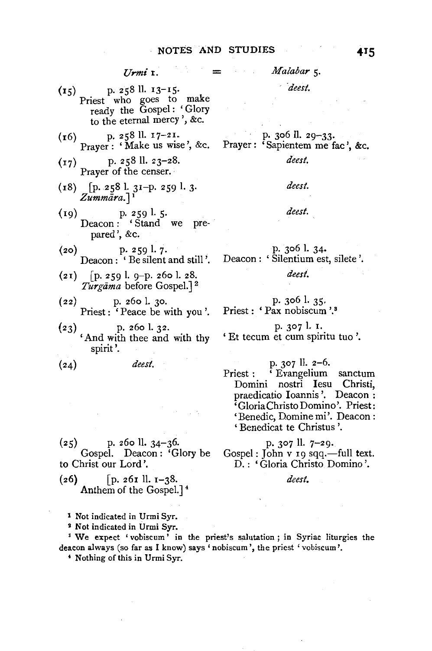*Urmi* I.

 $(15)$  p. 258 ll.  $13-15$ . Priest who goes to make ready the Gospel: 'Glory to the eternal mercy', &c.

- $(16)$  p. 258 ll. 17-21. Prayer : 'Make us wise', &c. Prayer : 'Sapientem me fac', &c.
- $(17)$  p. 258 ll. 23–28. Prayer of the censer.
- $(18)$  [p. 258 l. 31-p. 259 l. 3. *Zummara.]* <sup>1</sup>
- $(19)$  p. 259 l. 5. Deacon : ' Stand we prepared', &c.
- $(20)$  p. 259 l. 7. Deacon: 'Be silent and still'.
- (21) [p. 259 1. 9-p. 260 1. 28. *Turgama* before Gospel.] 2
- (22) p. 26o l. 30. Priest: 'Peace be with you'.
- $(23)$  p. 260 l. 32. 'And with thee and with thy spirit'.
- *dee st.*   $(24)$

*·deest.* 

p. 306 ll. 29-33·

*de est.* 

*deest.* 

*de est.* 

p. 306 1. 34· Deacon: 'Silentium est, silete '.

*de est.* 

p. 306 l. 35· Priest: 'Pax nobiscum'.<sup>8</sup>

p. 307 l. I. ' Et tecum et cum spiritu tuo '.

#### p. 307 11. 2-6.

Priest : Evangelium sanctum Domini nostri Iesu Christi, praedicatio Ioannis '. Deacon : 'GloriaChristoDomino'. Priest: 'Benedic, Domine mi '. Deacon : ' Benedicat te Christus '.

p. 307 ll. 7-2g. Gospel: John  $v$  19 sqq.—full text. D. : 'Gloria Christo Domino'.

*deest.* 

 $(25)$  p. 260 ll.  $34-36$ . Gospel. Deacon: 'Glory be to Christ our Lord'.

 $(26)$  [p. 26I ll. 1-38.] Anthem of the Gospel.] 4

<sup>1</sup> Not indicated in Urmi Syr.

<sup>2</sup> Not indicated in Urmi Syr.

3 We expect 'vobiscum' in the priest's salutation ; in Syriac liturgies the deacon always (so far as I know) says  $\epsilon$  nobiscum', the priest  $\epsilon$  vobiscum'.

• Nothing of this in Urmi Syr.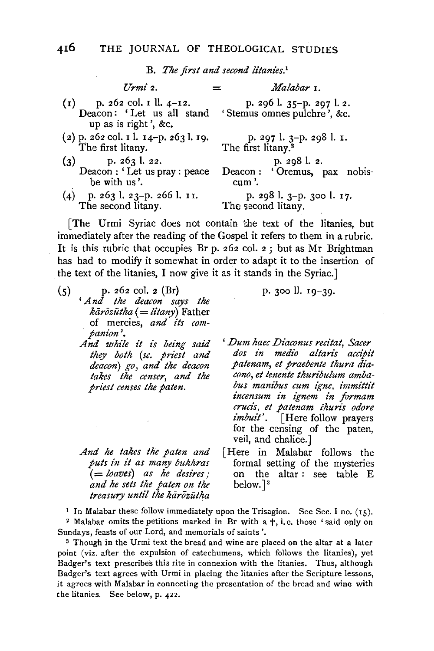B. *The first and second litanies. <sup>1</sup>*

|                   | $U$ rmi $2.$                                                                 | Malabar 1.                                                 |
|-------------------|------------------------------------------------------------------------------|------------------------------------------------------------|
| $\left( 1\right)$ | p. 262 col. 1 ll. 4–12.<br>Deacon: 'Let us all stand<br>up as is right', &c. | p. 296 l. 35–p. 297 l. 2.<br>'Stemus omnes pulchre', &c.   |
|                   | (2) p. 262 col. 1 l. 14-p. 263 l. 19.<br>The first litany.                   | p. 297 l. 3-p. 298 l. I.<br>The first litany. <sup>2</sup> |
| (3)               | p. 263 l. 22.<br>Deacon: 'Let us pray: peace<br>be with us'.                 | p. 298 l. 2.<br>Deacon: 'Oremus, pax nobis-<br>cum'.       |
|                   | $(4)$ p. 263 l. 23-p. 266 l. II.<br>The second litany.                       | p. 298 l. 3-p. 300 l. 17.<br>The second litany.            |
|                   | <b>Croni</b>                                                                 | . .                                                        |

[The Urmi Syriac does not contain the text of the litanies, but immediately after the reading of the Gospel it refers to them in a rubric. It is this rubric that occupies Br p. 262 col. 2 ; but as Mr Brightman has had to modify it somewhat in order to adapt it to the insertion of the text of the litanies, I now give it as it stands in the Syriac.]

(5) p. 262 col. 2 (Br) p. 300 ll.  $19-39$ . *'And the deacon says the*   $k\bar{a}r\bar{o}z\bar{u}tha (=litany)$  Father of mercies, *and its com- panion'. And while i't is being said they both (sc. priest and deacon) go, and the deacon takes the censer, and the priest censes the paten. And he takes the paten and puts in it as many bukhras (=loaves) as he desires; and he sets the paten on the treasury until the kiirozutha*  ' *Dum haec Diaconus recital, Sacerdos in medio altaris accipz't patenam, et praebente thura diacono, et tenente thuribulum ambabus manibus cum igne, immittit incensum in ignem in formam crucis, et patenam thuris odore imbuit'.* [Here follow prayers for the censing of the paten, veil, and chalice.] [Here in Malabar follows the formal setting of the mysteries on the altar : see table E below. $\frac{3}{3}$ 

1 In Malabar these follow immediately upon the Trisagion. See Sec. I no. (15). <sup>2</sup> Malabar omits the petitions marked in Br with a  $\dagger$ , i.e. those 'said only on Sundays, feasts of our Lord, and memorials of saints'.

s Though in the Urmi text the bread and wine are placed on the altar at a later point (viz. after the expulsion of catechumens, which follows the litanies), yet Badger's text prescribes this rite in connexion with the litanies. Thus, although Badger's text agrees with Urmi in placing the litanies after the Scripture lessons, it agrees with Malabar in connecting the presentation of the bread and wine with the litanies. See below, p. 422.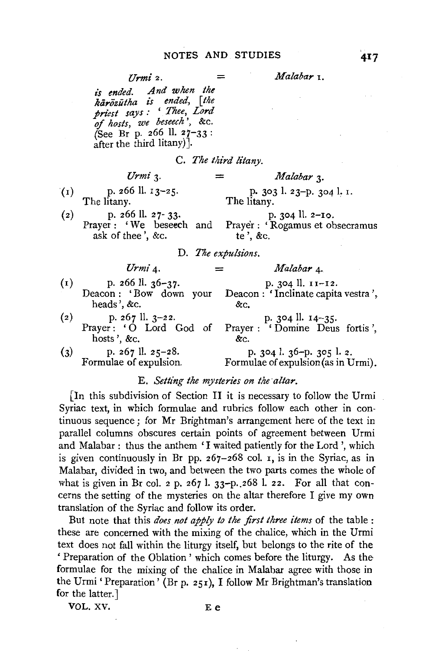$U$ *rmi* 2.  $=$   $Malabar$   $I$ . *is ended. And when the karozutha is ended, [the priest says :* ' *Thee, Lord*  of *hosts, we beseech',* &c. (See Br p. 266 ll. 27-33 : after the third litany)].

### C. *The third litany.*

 $U$ *rmi*  $3.$   $\qquad \qquad \equiv$   $Malabar$   $3.$ 

p. 266 11. 13-25.  $\mathbf{r}(\mathbf{r})$ The litany.

P· 303 1. 23-p. 304 1. r. The litany.

p. 266 ll. 27- 33· p. 304 ll. 2-IO.  $\left( 2\right)$ Prayer : ' Rogamus et obsecramus Prayer: 'We beseech and ask of thee', &c. te ',&c.

D. *The expulsions.* 

|                   | Urmi 4.                                            | Malabar 4.                                                       |  |
|-------------------|----------------------------------------------------|------------------------------------------------------------------|--|
| $\left( 1\right)$ | p. $266$ ll. $36 - 37$ .<br>Deacon: 'Bow down your | p. 304 ll. 11-12.<br>Deacon : 'Inclinate capita vestra',         |  |
|                   | heads', &c.                                        | &c.                                                              |  |
| $\left( 2\right)$ | p. $267$ ll. $3-22$ .<br>Prayer: 'O Lord God of    | p. 304 ll. 14-35.<br>Prayer : ' Domine Deus fortis',             |  |
|                   | hosts $x^2$ , &c.                                  | &с.                                                              |  |
| $\left(3\right)$  | p. 267 ll. 25-28.<br>Formulae of expulsion.        | p. 304 l. 36-p. 305 l. 2.<br>Formulae of expulsion (as in Urmi). |  |

# E. *Setting the mysteries on the altar.*

[In this subdivision of Section II it is necessary to follow the Urmi Syriac text, in which formulae and rubrics follow each other in continuous sequence ; for Mr Brightman's arrangement here of the text in parallel columns obscures certain points of agreement between Urmi and Malabar : thus the anthem 'I waited patiently for the Lord ', which is given continuously in Br pp. 267-268 col. 1, is in the Syriac, as in Malabar, divided in two, and between the two parts comes the whole of what is given in Br col. 2 p. 267 l. 33-p. 268 l. 22. For all that concerns the setting of the mysteries on the altar therefore I give my own translation of the Syriac and follow its order.

But note that this *does not apply to the first three items* of the table : these are concerned with the mixing of the chalice, which in the Urmi text does not fall within the liturgy itself, but belongs to the rite of the 'Preparation of the Oblation' which comes before the liturgy. As the formulae for the mixing of the chalice in Malabar agree with those in the Urmi 'Preparation' (Br p. 251), I follow Mr Brightman's translation for the latter.]

VOL. XV. E e

417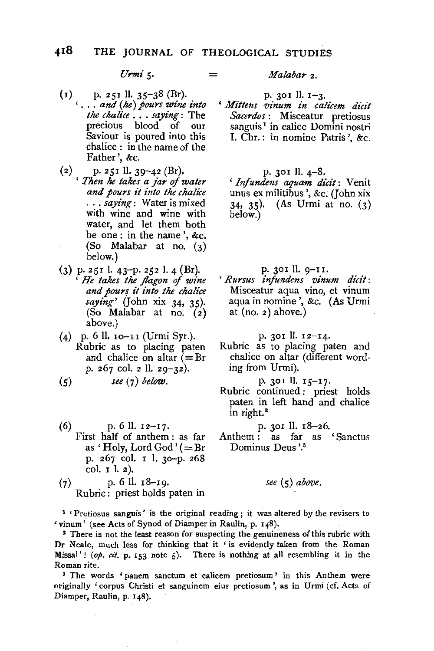*Urmi* 5·

(1) p. 251 ll.  $35-38$  (Br). ' . . . *and* (he) *pours wine into* 

- *the chalice* . . . *saying* : The precious blood of our Saviour is poured into this chalice : in the name of the Father', &c.
- (2) p. 25I II. 39-42 (Br). ' *Then he takes a far of water and pours it into the chalice*  ... *saying:* Water is mixed with wine and wine with water, and let them both be one : in the name ', &c. (So Malabar at no. (3) below.)
- $(3)$  p. 251 l. 43-p. 252 l. 4 (Br). ' *He takes the flagon of wine*  and pours it into the chalice *saying'* (John xix 34, 35). (So Malabar at no. (2) above.)
- (4) p. 6 ll. 10-11 (Urmi Syr.). Rubric as to placing paten and chalice on altar  $( = Br)$ p. 267 col. 2 II. 29-32).
- (5) *see* (7) *below.*
- (6) p. 6 ll.  $12-17$ . First half of anthem : as far as 'Holy, Lord God' ( $=$ Br p. 267 col. I I. 30-p. 268 col. I I. 2).

 $(7)$  p. 6 ll.  $18-19$ . Rubric : priest holds paten in

= *Malabar* 2.

p. 301 II. 1-3.

' *Mittens vinum in calicem dicit Sacerdos* : Misceatur pretiosus sanguis<sup>1</sup> in calice Domini nostri I. Chr. : in nomine Patris ', &c.

p. JOI II. 4-8. *'Infundens aquam dicit:* Venit unus ex militibus ', &c: (John xix 34, 35). (As Urmi at no. (3) below.)

p. 301 II. 9-I I.

' *Rursus infundens vinum dicit:*  Misceatur aqua vino, et vinum aqua in nomine', &c. (As Urmi at  $(no. 2)$  above.)

p. JOI II. I 2-14.

Rubric as to placing paten and chalice on altar (different wording from Urmi).

p. 301 ll. 15-17.

Rubric continued : priest holds paten in left hand and chalice in right.<sup>2</sup>

p. 301 II. 18-26.

Anthem : as far as 'Sanctus Dominus Deus '.3

*see* (5) *above.* 

1 ' Pretiosus sanguis' is the original reading; it was altered by the revisers to 'vinum' (see Acts of Synod of Diamper in Raulin, p. 148).

<sup>2</sup> There is not the least reason for suspecting the genuineness of this rubric with Dr Neale, much less for thinking that it 'is evidently taken from the Roman Missal'! (op. cit. p. 153 note 5). There is nothing at all resembling it in the Roman rite.<br><sup>3</sup> The words ' panem sanctum et calicem pretiosum' in this Anthem were

originally 'corpus Christi et sanguinem eius pretiosum', as in Urmi (cf. Acts of Diamper, Raulin, p. 148).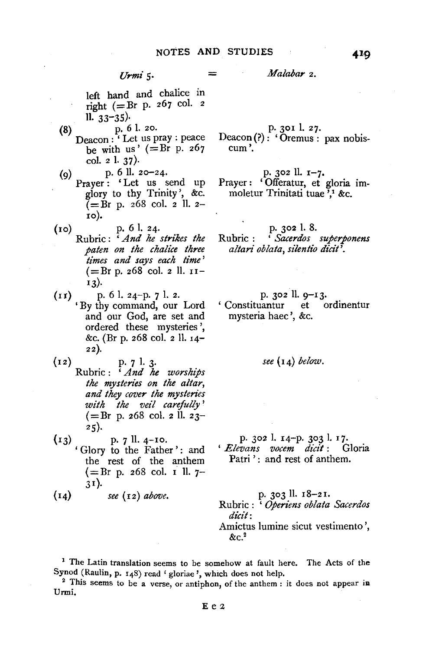*Urmi* 5·

= *Malabar* 2.

- left hand and chalice in right (=Br p. 267 col. 2 **11.** 33-35)·
- (8) p. 6 I. 20. Deacon : ' Let us pray : peace be with us'  $(=Br p. 267)$ col. 2 I. 37).
- (9) p. 6 ll.  $20-24$ . Prayer: 'Let us send up glory to thy Trinity', &c.  $( = Br p. 268$  col. 2 ll. 2-IO).
- $(10)$  p. 6 l. 24. Rubric : *'And he strikes the*   $\emph{pattern on the challenge three}$ *times and says each time'*   $(=Br \, p. \, 268 \, \text{col. } 2 \, \text{ll. } n-$ 13).
- 
- $(n)$  p. 6 l. 24-p. 7 l. 2. ' By thy command, our Lord and our God, are set and ordered these mysteries', &c. (Br p. 268 col. 2 II. 14- 22).
- 
- $(12)$  p. 7 l. 3. Rubric : *'And he worships the mysteries on the altar, and they cover the mysteries with the veil carefully* '  $( =Br$  p. 268 col. 2 ll. 23-25).
- $(r_3)$  p. 7 ll. 4-10. ' Glory to the Father': and the rest of the anthem  $( = Br \, p. \, 268 \, \text{col. } r \, \text{ll. } 7 -$ 31).

*see* (r2) *above.* 

 $(14)$ 

p. 301 I. 27. Deacon(?): 'Oremus : pax nobiscum'.

p. 302 11. 1-7. Prayer : 'Offeratur, et gloria immoletur Trinitati tuae<sup>7</sup>,<sup>1</sup> &c.

p. 302 I. 8. Rubric : ' *Sacerdos superponens* 

*allan' oblata, silentio dicit'.* 

### p. 302 11. g-13·

' Constituantur et ordinentur mysteria haec', &c.

*see* (I4) *below.* 

p. 302 I. I4-P· 303 1. I 7. ' *Elevans vocem dicit* : Gloria Patri ': and rest of anthem.

p. 303 11. 18-2 I.

Rubric : ' *Operiens oblata Sacerdos dicit:* 

Amictus lumine sicut vestimento ',  $\&c.^2$ 

<sup>1</sup> The Latin translation seems to be somehow at fault here. The Acts of the Synod (Raulin, p.  $148$ ) read 'gloriae', which does not help.

<sup>2</sup> This seems to be a verse, or antiphon, of the anthem : it does not appear in Urmi.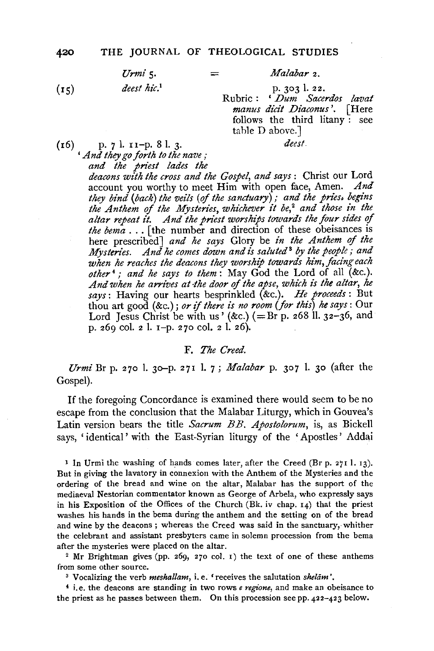= *Malabar* 2.

*deest hic.1*   $(15)$ 

p. 303 l. 22.<br>'Dum Sacerdos lavat Rubric : ' *Dum Sacerdos lavat manus dicit Diaconus* '. [Here follows the third litany : see tahle D above.]

*dee st.* 

 $(16)$  p. 7 l.  $11-p.8$  l. 3. *'And they go forth to the nave;* 

*Urmi* 5·

*and the pnest lades the deacons with the cross and the Gospel, and says* : Christ our Lord account you worthy to meet Him with open face, Amen. *And they bind (back) the veils* (of *the sanctuary); and the pries. begins the Anthem of the Mysteries, whichever it be, 2 and those in the altar repeat it. And the pnest worships towards the four sides* of *the bema* ... [the number and direction of these obeisances is here prescribed] *and he says* Glory be *in the Anthem of the Mysten'es. And he comes down and is saluted 8 by the people; and when he reaches the deacons they worship towards him,facingeach other <sup>4</sup> ; and he says to them:* May God the Lord of all (&c.). *And when he arrives at ·the door* of *the apse, which is the altar, he says:* Having our hearts besprinkled (&c.). *He proceeds:* But thou art good (&c.); *or* if *there is no room (for this) he says:* Our Lord Jesus Christ be with us' (&c.) (=Br p. 268 ll. 32-36, and p. 269 col. 2 l. 1-p. 270 col. 2 1. 26).

# F. *The Creed.*

*Urmi* Br p. 270 1. 3o-p. 271 1. 7; *Malabar* p. 307 1. 30 (after the Gospel).

If the foregoing Concordance is examined there would seem to be no escape from the conclusion that the Malabar Liturgy, which in Gouvea's Latin version bears the title *Sacrum BB. Apostolorum,* is, as Bickell says, 'identical' with the East-Syrian liturgy of the 'Apostles' Addai

1 In Urmi the washing of hands comes later, after the Creed (Br p. 271 I. 13). But in giving the lavatory in connexion with the Anthem of the Mysteries and the ordering of the bread and wine on the altar, Malabar has the support of the mediaeval Nestorian commentator known as George of Arbela, who expressly says in his Exposition of the Offices of the Church (Bk. iv chap. 14) that the priest washes his hands in the bema during the anthem and the setting on of the bread and wine by the deacons; whereas the Creed was said in the sanctuary,- whither the celebrant and assistant presbyters came in solemn procession from the bema

after the mysteries were placed on the altar.<br><sup>2</sup> Mr Brightman gives (pp. 269, 270 col. 1) the text of one of these anthems from some other source. 3 Vocalizing the verb *meshallam,* i.e. 'receives the salutation *shelam* '.

4 i.e. the deacons are standing in two rows *e regione,* and make an obeisance to the priest as he passes between them. On this procession see pp. 422-423 below.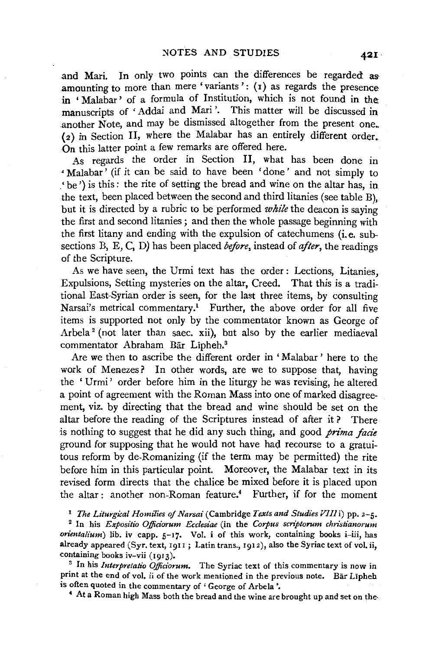.and Mari. In only two points can the differences be regarded as amounting to more than mere 'variants': (1) as regards the presence in ' Malabar' of a formula of Institution, which is not found in the manuscripts of 'Addai and Mari'. This matter will be discussed in another Note, and may be dismissed altogether from the present one. (2) in Section II, where the Malabar has an entirely different order. On this latter point a few remarks are offered here.

As regards the order in Section II, what has been done in ' Malabar' (if it can be said to have been ' done ' and not simply to . ' be ') is this : the rite of setting the bread and wine on the altar has, in the text, been placed between the second and third litanies (see table B), but it is directed by a rubric to be performed *while* the deacon is saying the first and second litanies ; and then the whole passage beginning with the first litany and ending with the expulsion of catechumens (i.e. subsections B, E, C, D) has been placed *before,* instead of *after,* the readings of the Scripture.

As we have seen, the Urmi text has the order: Lections, Litanies, Expulsions, Setting mysteries on the altar, Creed. That this is a traditional East-Syrian order is seen, for the last three items, by consulting Narsai's metrical commentary.<sup>1</sup> Further, the above order for all five items is supported not only by the commentator known as George of Arbela<sup>2</sup> (not later than saec. xii), but also by the earlier mediaeval commentator Abraham Bar Lipheh.3

Are we then to ascribe the different order in ' Malabar ' here to the work of Menezes? In other words, are we to suppose that, having the 'Urmi' order before him in the liturgy he was revising, he altered a point of agreement with the Roman Mass into one of marked disagreement, viz. by directing that the bread and wine should be set on the altar before the reading of the Scriptures instead of after it ? There is nothing to suggest that he did any such thing, and good *prima facie* ground for supposing that he would not have had recourse to a gratuitous reform by de-Romanizing (if the term may be permitted) the rite before him in this particular point. Moreover, the Malabar text in its revised form directs that the chalice be mixed before it is placed upon the altar: another non-Roman feature.<sup>4</sup> Further, if for the moment

<sup>1</sup>*The Liturgical Homilies of Narsai* (Cambridge *Texts and Studies VIlli)* pp. 2-5. 2 In his *Expositio Officiorum Ecclesiae* (in the *Corpus scnptorum christianomm orientalium)* Jib. iv capp. 5-17. Vol. i of this work, containing books i-iii, has already appeared (Syr. text, 1911; Latin trans., 1912), also the Syriac text of vol. ii, containing books iv-vii (1913).

<sup>3</sup> In his *Interpretatio Officiorum*. The Syriac text of this commentary is now in print at the end of vol. ii of the work mentioned in the previous note. Bar Lipheh is often quoted in the commentary of ' George of Arbela'.

• At a Roman high Mass both the bread and the wine are brought up and set on the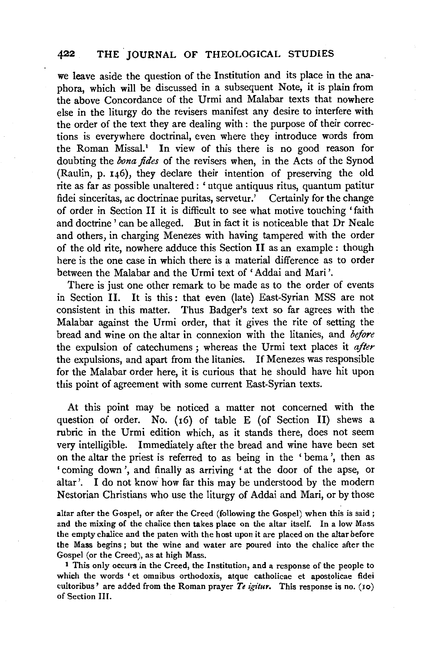# **422 THE JOURNAL** OF THEOLOGICAL STUDIES

we leave aside the question of the Institution and its place in the anaphora, which will be discussed in a subsequent Note, it is plain from the above Concordance of the Urmi and Malabar texts that nowhere else in the liturgy do the revisers manifest any desire to interfere with the order of the text they are dealing with : the purpose of their corrections is everywhere doctrinal, even where they introduce words from the Roman Missal.' In view of this there is no good reason for doubting the *bona fides* of the revisers when, in the Acts of the Synod (Raulin, p. 146), they declare their intention of preserving the old rite as far as possible unaltered : ' utque antiquus ritus, quantum patitur fidei sinceritas, ac doctrinae puritas, servetur.' Certainly for the change of order in Section II it is difficult to see what motive touching 'faith and doctrine' can be alleged. But in fact it is noticeable that Dr Neale and others, in charging Menezes with having tampered with the order of the old rite, nowhere adduce this Section II as an example : though here is the one case in which there is a material difference as to order between the Malabar and the Urmi text of 'Addai and Mari'.

There is just one other remark to be made as to the order of events in Section II. It is this: that even (late) East-Syrian MSS are not consistent in this matter. Thus Badger's text so far agrees with the Malabar against the Urmi order, that it gives the rite of setting the bread and wine on the altar in connexion with the litanies, and *before* the expulsion of catechumens ; whereas the Urmi text places it *after*  the expulsions, and apart from the litanies. If Menezes was responsible for the Malabar order here, it is curious that he should have hit upon this point of agreement with some current East-Syrian texts.

At this point may be noticed a matter not concerned with the question of order. No. (16) of table E (of Section II) shews a rubric in the Urmi edition which, as it stands there, does not seem very intelligible. Immediately after the bread and wine have been set on the altar the priest is referred to as being in the ' bema', then as 'coming down ', and finally as arriving ' at the door of the apse, or altar'. I do not know how far this may be understood by the modern Nestorian Christians who use the liturgy of Addai and Mari, or by those

altar after the Gospel, or after the Creed (following the Gospel) when this is said ; and the mixing of the chalice then takes place on the altar itself. In a low Mass the empty chalice and the paten with the host upon it are placed on the altar before the Mass begins ; but the wine and water are poured into the chalice after the Gospel (or the Creed), as at high Mass.

<sup>1</sup>This only occurs in the Creed, the Institution, and a response of the people to which the words 'et omnibus orthodoxis, atque catholicae et apostolicae fidei cultoribus' are added from the Roman prayer *Te igitur.* This response is no. (Io) of Section III.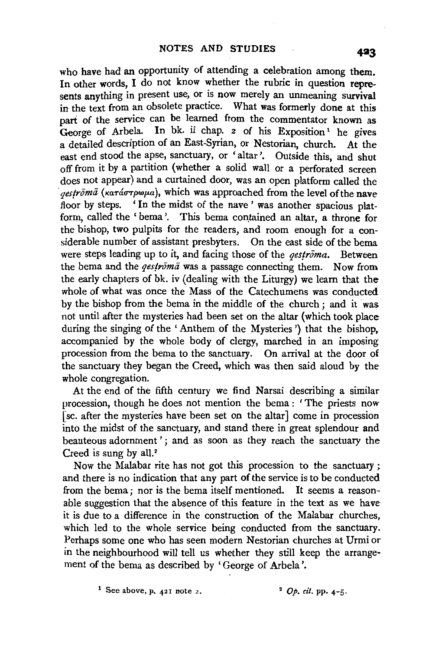who have had an opportunity of attending a celebration among them. In other words, I do not know whether the rubric in question represents anything in present use, or is now merely an unmeaning survival in the text from an obsolete practice. What was formerly done at this part of the service can be learned from the commentator known as George of Arbela. In bk. ii chap. 2 of his Exposition<sup>1</sup> he gives a detailed description of an East-Syrian, or Nestorian, church. At the east end stood the apse, sanctuary, or 'altar'. Outside this, and shut off from it by a partition (whether a solid wall or a perforated screen does not appear) and a curtained door, was an open platform called the  $q$ estr $\bar{\sigma}$ *mā* ( $\kappa$ a $\tau$ á $\sigma$ τρωμα), which was approached from the level of the nave floor by steps. 'In the midst of the nave ' was another spacious platform, called the 'bema'. This bema contained an altar, a throne for the bishop, two pulpits for the readers, and room enough for a considerable number of assistant presbyters. On the east side of the bema were steps leading up to it, and facing those of the *gestroma*. Between the bema and the *qestroma* was a passage connecting them. Now from the early chapters of bk. iv (dealing with the Liturgy) we learn that the whole of what was once the Mass of the Catechumens was conducted by the bishop from the bema in the middle of the church ; and it was not until after the mysteries had been set on the altar (which took place during the singing of the ' Anthem of the Mysteries ') that the bishop. accompanied by the whole body of clergy, marched in an imposing procession from the bema to the sanctuary. On arrival at the door of the sanctuary they began the Creed, which was then said aloud by the whole congregation.

At the end of the fifth century we find Narsai describing a similar procession, though he does not mention the bema : ' The priests now [sc. after the mysteries have been set on the altar] come in procession into the midst of the sanctuary, and stand there in great splendour and beauteous adornment'; and as soon as they reach the sanctuary the Creed is sung by all.<sup>2</sup>

Now the Malabar rite has not got this procession to the sanctuary; and there is no indication that any part of the service is to be conducted from the bema; nor is the bema itself mentioned. It seems a reasonable suggestion that the absence of this feature in the text as we have it is due to a difference in the construction of the Malabar churches, which led to the whole service being conducted from the sanctuary. Perhaps some one who has seen modern Nestorian churches at Urmi or in the neighbourhood will tell us whether they still keep the arrangement of the bema as described by 'George of Arbela'.

<sup>1</sup> See above, p. 421 note 2.  $2Qp$ , *cit.* pp. 4-5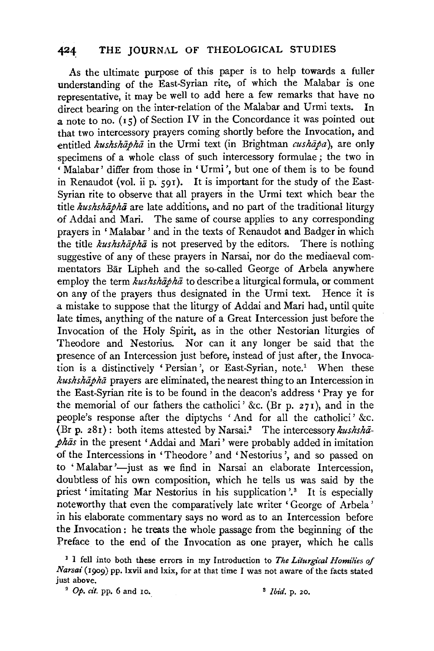# **424: THE JOURNAL** OF THEOLOGICAL STUDIES

As the ultimate purpose of this paper is to help towards a fuller understanding of the East-Syrian rite, of which the Malabar is one representative, it may be well to add here a few remarks that have no direct bearing on the inter-relation of the Malabar and Urmi texts. In a note to no.  $(15)$  of Section IV in the Concordance it was pointed out that two intercessory prayers coming shortly before the Invocation, and entitled *kushshāphā* in the Urmi text (in Brightman *cushāpa*), are only specimens of a whole class of such intercessory formulae ; the two in ' Malabar' differ from those in 'Urmi', but one of them is to be found in Renaudot (vol. ii p. 591). It is important for the study of the East-Syrian rite to observe that all prayers in the Urmi text which bear the title *kushshapha* are late additions, and no part of the traditional liturgy of Addai and Mari. The same of course applies to any corresponding prayers in 'Malabar' and in the texts of Renaudot and Badger in which the title *kushshapha* is not preserved by the editors. There is nothing suggestive of any of these prayers in Narsai, nor do the mediaeval commentators Bar Lipheh and the so-called George of Arbela anywhere employ the term *kushshapha* to describe a liturgical formula, or comment on any of the prayers thus designated in the Urmi text. Hence it is a mistake to suppose that the liturgy of Addai and Mari had, until quite late times, anything of the nature of a Great Intercession just before the Invocation of the Holy Spirit, as in the other Nestorian liturgies of Theodore and Nestorius. Nor can it any longer be said that the presence of an Intercession just before, instead of just after, the Invocation is a distinctively 'Persian', or East-Syrian, note.<sup>1</sup> When these *kushshapha* prayers are eliminated, the nearest thing to an Intercession in the East-Syrian rite is to be found in the deacon's address 'Pray ye for the memorial of our fathers the catholici' &c. (Br p. 271), and in the people's response after the diptychs ' And for all the catholici' &c. (Br p. 281): both items attested by Narsai.<sup>2</sup> The intercessory *kushshā*phas in the present 'Addai and Mari' were probably added in imitation of the Intercessions in 'Theodore' and 'Nestorius', and so passed on to 'Malabar'-just as we find in Narsai an elaborate Intercession, doubtless of his own composition, which he tells us was said by the priest 'imitating Mar Nestorius in his supplication'.<sup>3</sup> It is especially noteworthy that even the comparatively late writer 'George of Arbela' in his elaborate commentary says no word as to an Intercession before the Invocation: he treats the whole passage from the beginning of the Preface to the end of the Invocation as one prayer, which he calls

<sup>1</sup> I fell into both these errors in my Introduction to *The Liturgical Homilies of Narsai* (1909) pp. lxvii and lxix, for at that time I was not aware of the facts stated just above.

 $2$  *Op. cit.* pp. 6 and 10.  $3$  *Ibid.* p. 20.